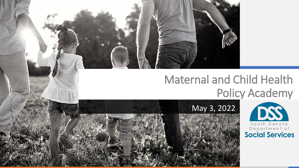### Maternal and Child Health Policy Academy



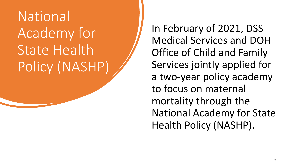### National Academy for State Health Policy (NASHP)

In February of 2021, DSS Medical Services and DOH Office of Child and Family Services jointly applied for a two-year policy academy to focus on maternal mortality through the National Academy for State Health Policy (NASHP).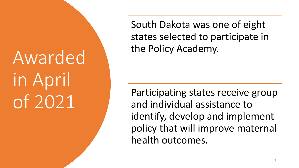# Awarded in April of 2021

South Dakota was one of eight states selected to participate in the Policy Academy.

Participating states receive group and individual assistance to identify, develop and implement policy that will improve maternal health outcomes.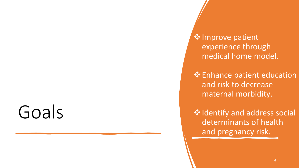# Goals

❖Improve patient experience through medical home model.

❖Enhance patient education and risk to decrease maternal morbidity.

❖Identify and address social determinants of health and pregnancy risk.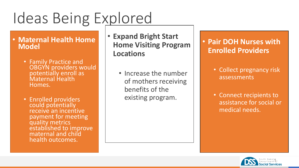## Ideas Being Explored

#### • **Maternal Health Home Model**

- Family Practice and OBGYN providers would potentially enroll as Maternal Health Homes.
- Enrolled providers could potentially receive an incentive payment for meeting quality metrics established to improve maternal and child health outcomes.
- **Expand Bright Start Home Visiting Program Locations**
	- Increase the number of mothers receiving benefits of the existing program.

#### • **Pair DOH Nurses with Enrolled Providers**

- Collect pregnancy risk assessments
- Connect recipients to assistance for social or medical needs.